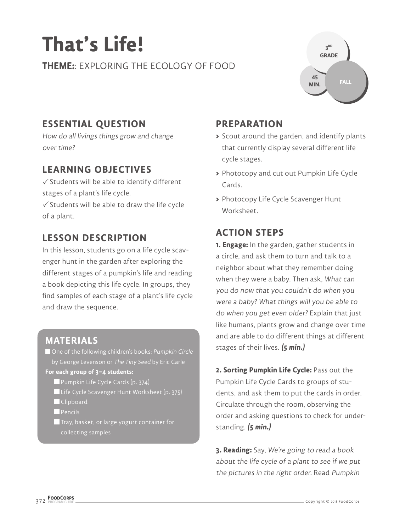# **That's Life!**

**THEME:**: EXPLORING THE ECOLOGY OF FOOD



### **ESSENTIAL QUESTION**

How do all livings things grow and change over time?

#### **LEARNING OBJECTIVES**

 $\checkmark$  Students will be able to identify different stages of a plant's life cycle.

 $\checkmark$  Students will be able to draw the life cycle of a plant.

#### **LESSON DESCRIPTION**

In this lesson, students go on a life cycle scavenger hunt in the garden after exploring the different stages of a pumpkin's life and reading a book depicting this life cycle. In groups, they find samples of each stage of a plant's life cycle and draw the sequence.

#### **MATERIALS**

■ One of the following children's books: Pumpkin Circle by George Levenson or The Tiny Seed by Eric Carle

#### **For each group of 3–4 students:**

- Pumpkin Life Cycle Cards (p. 374)
- Life Cycle Scavenger Hunt Worksheet (p. 375)
- **Clipboard**
- $\blacksquare$  Pencils
- Tray, basket, or large yogurt container for collecting samples

#### **PREPARATION**

- **>** Scout around the garden, and identify plants that currently display several different life cycle stages.
- **>** Photocopy and cut out Pumpkin Life Cycle Cards.
- **>** Photocopy Life Cycle Scavenger Hunt Worksheet.

#### **ACTION STEPS**

**1. Engage:** In the garden, gather students in a circle, and ask them to turn and talk to a neighbor about what they remember doing when they were a baby. Then ask, What can you do now that you couldn't do when you were a baby? What things will you be able to do when you get even older? Explain that just like humans, plants grow and change over time and are able to do different things at different stages of their lives. **(5 min.)**

**2. Sorting Pumpkin Life Cycle:** Pass out the Pumpkin Life Cycle Cards to groups of students, and ask them to put the cards in order. Circulate through the room, observing the order and asking questions to check for understanding. **(5 min.)**

**3. Reading:** Say, We're going to read a book about the life cycle of a plant to see if we put the pictures in the right order. Read Pumpkin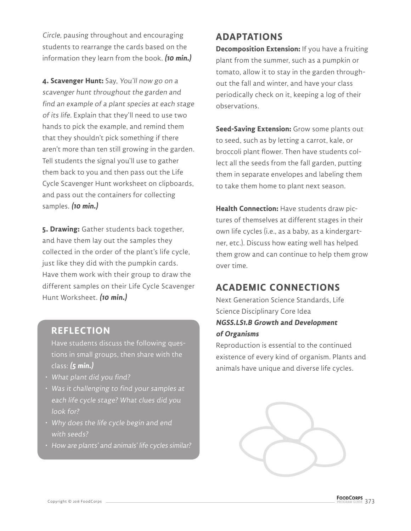Circle, pausing throughout and encouraging students to rearrange the cards based on the information they learn from the book. **(10 min.)**

**4. Scavenger Hunt:** Say, You'll now go on a scavenger hunt throughout the garden and find an example of a plant species at each stage of its life. Explain that they'll need to use two hands to pick the example, and remind them that they shouldn't pick something if there aren't more than ten still growing in the garden. Tell students the signal you'll use to gather them back to you and then pass out the Life Cycle Scavenger Hunt worksheet on clipboards, and pass out the containers for collecting samples. **(10 min.)**

**5. Drawing:** Gather students back together, and have them lay out the samples they collected in the order of the plant's life cycle, just like they did with the pumpkin cards. Have them work with their group to draw the different samples on their Life Cycle Scavenger Hunt Worksheet. **(10 min.)**

#### **REFLECTION**

Have students discuss the following questions in small groups, then share with the class: **(5 min.)**

- What plant did you find?
- Was it challenging to find your samples at each life cycle stage? What clues did you look for?
- Why does the life cycle begin and end with seeds?
- How are plants' and animals' life cycles similar?

### **ADAPTATIONS**

**Decomposition Extension:** If you have a fruiting plant from the summer, such as a pumpkin or tomato, allow it to stay in the garden throughout the fall and winter, and have your class periodically check on it, keeping a log of their observations.

**Seed-Saving Extension:** Grow some plants out to seed, such as by letting a carrot, kale, or broccoli plant flower. Then have students collect all the seeds from the fall garden, putting them in separate envelopes and labeling them to take them home to plant next season.

**Health Connection:** Have students draw pictures of themselves at different stages in their own life cycles (i.e., as a baby, as a kindergartner, etc.). Discuss how eating well has helped them grow and can continue to help them grow over time.

#### **ACADEMIC CONNECTIONS**

Next Generation Science Standards, Life Science Disciplinary Core Idea **NGSS.LS1.B Growth and Development of Organisms**

Reproduction is essential to the continued existence of every kind of organism. Plants and animals have unique and diverse life cycles.

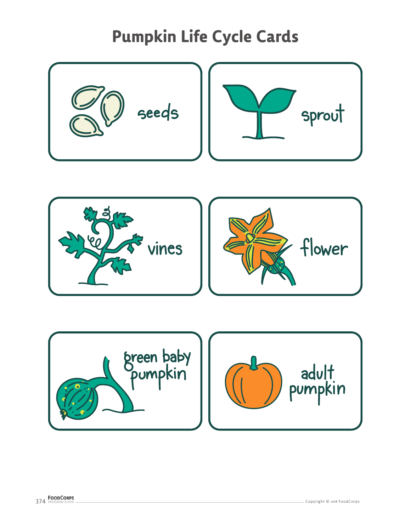## **Pumpkin Life Cycle Cards**